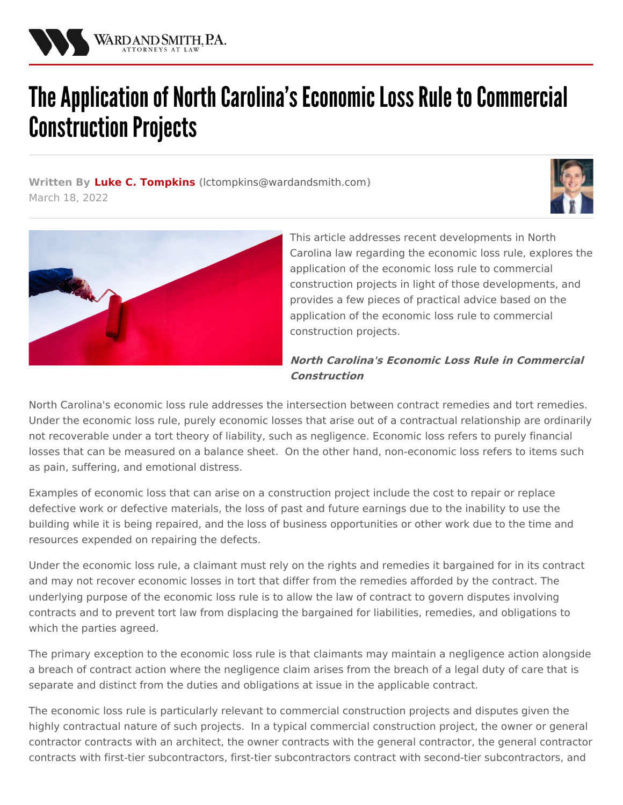

# The Application of North Carolina's Economic Loss Rule to Commercial **Construction Projects**

**Written By Luke C. [Tompkins](/attorneys/luke-tompkins) (**[lctompkins@wardandsmith.com](mailto:lctompkins@wardandsmith.com)**)** March 18, 2022





This article addresses recent developments in North Carolina law regarding the economic loss rule, explores the application of the economic loss rule to commercial construction projects in light of those developments, and provides a few pieces of practical advice based on the application of the economic loss rule to commercial construction projects.

## **North Carolina's Economic Loss Rule in Commercial Construction**

North Carolina's economic loss rule addresses the intersection between contract remedies and tort remedies. Under the economic loss rule, purely economic losses that arise out of a contractual relationship are ordinarily not recoverable under a tort theory of liability, such as negligence. Economic loss refers to purely financial losses that can be measured on a balance sheet. On the other hand, non-economic loss refers to items such as pain, suffering, and emotional distress.

Examples of economic loss that can arise on a construction project include the cost to repair or replace defective work or defective materials, the loss of past and future earnings due to the inability to use the building while it is being repaired, and the loss of business opportunities or other work due to the time and resources expended on repairing the defects.

Under the economic loss rule, a claimant must rely on the rights and remedies it bargained for in its contract and may not recover economic losses in tort that differ from the remedies afforded by the contract. The underlying purpose of the economic loss rule is to allow the law of contract to govern disputes involving contracts and to prevent tort law from displacing the bargained for liabilities, remedies, and obligations to which the parties agreed.

The primary exception to the economic loss rule is that claimants may maintain a negligence action alongside a breach of contract action where the negligence claim arises from the breach of a legal duty of care that is separate and distinct from the duties and obligations at issue in the applicable contract.

The economic loss rule is particularly relevant to commercial construction projects and disputes given the highly contractual nature of such projects. In a typical commercial construction project, the owner or general contractor contracts with an architect, the owner contracts with the general contractor, the general contractor contracts with first-tier subcontractors, first-tier subcontractors contract with second-tier subcontractors, and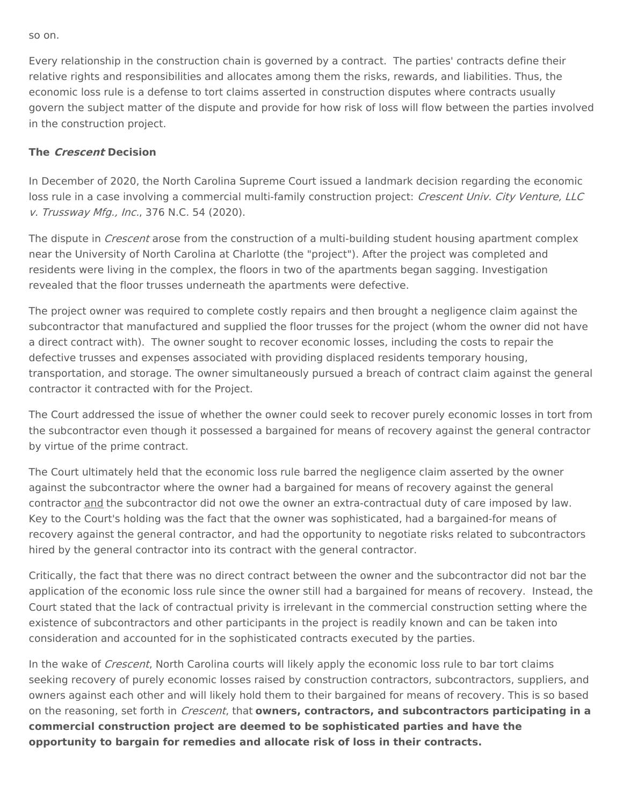so on.

Every relationship in the construction chain is governed by a contract. The parties' contracts define their relative rights and responsibilities and allocates among them the risks, rewards, and liabilities. Thus, the economic loss rule is a defense to tort claims asserted in construction disputes where contracts usually govern the subject matter of the dispute and provide for how risk of loss will flow between the parties involved in the construction project.

#### **The Crescent Decision**

In December of 2020, the North Carolina Supreme Court issued a landmark decision regarding the economic loss rule in a case involving a commercial multi-family [construction](https://law.justia.com/cases/north-carolina/supreme-court/2020/407a19.html) project: Crescent Univ. City Venture, LLC v. Trussway Mfg., Inc., 376 N.C. 54 (2020).

The dispute in *Crescent* arose from the construction of a multi-building student housing apartment complex near the University of North Carolina at Charlotte (the "project"). After the project was completed and residents were living in the complex, the floors in two of the apartments began sagging. Investigation revealed that the floor trusses underneath the apartments were defective.

The project owner was required to complete costly repairs and then brought a negligence claim against the subcontractor that manufactured and supplied the floor trusses for the project (whom the owner did not have a direct contract with). The owner sought to recover economic losses, including the costs to repair the defective trusses and expenses associated with providing displaced residents temporary housing, transportation, and storage. The owner simultaneously pursued a breach of contract claim against the general contractor it contracted with for the Project.

The Court addressed the issue of whether the owner could seek to recover purely economic losses in tort from the subcontractor even though it possessed a bargained for means of recovery against the general contractor by virtue of the prime contract.

The Court ultimately held that the economic loss rule barred the negligence claim asserted by the owner against the subcontractor where the owner had a bargained for means of recovery against the general contractor and the subcontractor did not owe the owner an extra-contractual duty of care imposed by law. Key to the Court's holding was the fact that the owner was sophisticated, had a bargained-for means of recovery against the general contractor, and had the opportunity to negotiate risks related to subcontractors hired by the general contractor into its contract with the general contractor.

Critically, the fact that there was no direct contract between the owner and the subcontractor did not bar the application of the economic loss rule since the owner still had a bargained for means of recovery. Instead, the Court stated that the lack of contractual privity is irrelevant in the commercial construction setting where the existence of subcontractors and other participants in the project is readily known and can be taken into consideration and accounted for in the sophisticated contracts executed by the parties.

In the wake of Crescent, North Carolina courts will likely apply the economic loss rule to bar tort claims seeking recovery of purely economic losses raised by construction contractors, subcontractors, suppliers, and owners against each other and will likely hold them to their bargained for means of recovery. This is so based on the reasoning, set forth in Crescent, that **owners, contractors, and subcontractors participating in a commercial construction project are deemed to be sophisticated parties and have the opportunity to bargain for remedies and allocate risk of loss in their contracts.**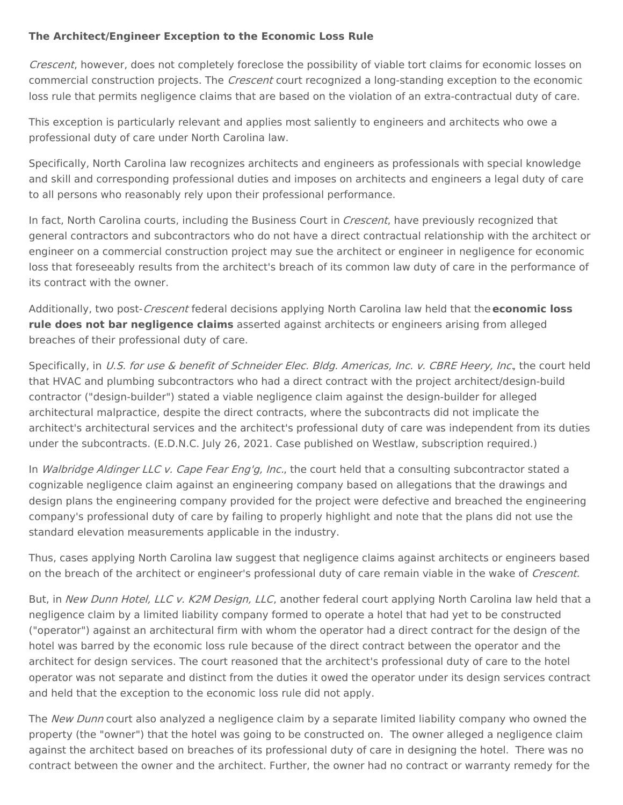### **The Architect/Engineer Exception to the Economic Loss Rule**

Crescent, however, does not completely foreclose the possibility of viable tort claims for economic losses on commercial construction projects. The *Crescent* court recognized a long-standing exception to the economic loss rule that permits negligence claims that are based on the violation of an extra-contractual duty of care.

This exception is particularly relevant and applies most saliently to engineers and architects who owe a professional duty of care under North Carolina law.

Specifically, North Carolina law recognizes architects and engineers as professionals with special knowledge and skill and corresponding professional duties and imposes on architects and engineers a legal duty of care to all persons who reasonably rely upon their professional performance.

In fact, North Carolina courts, including the Business Court in *Crescent*, have previously recognized that general contractors and subcontractors who do not have a direct contractual relationship with the architect or engineer on a commercial construction project may sue the architect or engineer in negligence for economic loss that foreseeably results from the architect's breach of its common law duty of care in the performance of its contract with the owner.

Additionally, two post-Crescent federal decisions applying North Carolina law held that the**economic loss rule does not bar negligence claims** asserted against architects or engineers arising from alleged breaches of their professional duty of care.

Specifically, in U.S. for use & benefit of Schneider Elec. Bldg. Americas, Inc. v. CBRE Heery, Inc., the court held that HVAC and plumbing subcontractors who had a direct contract with the project architect/design-build contractor ("design-builder") stated a viable negligence claim against the design-builder for alleged architectural malpractice, despite the direct contracts, where the subcontracts did not implicate the architect's architectural services and the architect's professional duty of care was independent from its duties under the subcontracts. (E.D.N.C. July 26, 2021. Case published on Westlaw, subscription required.)

In [Walbridge](https://dockets.justia.com/docket/north-carolina/ncedce/7:2021cv00057/186681) Aldinger LLC v. Cape Fear Eng'g, Inc., the court held that a consulting subcontractor stated a cognizable negligence claim against an engineering company based on allegations that the drawings and design plans the engineering company provided for the project were defective and breached the engineering company's professional duty of care by failing to properly highlight and note that the plans did not use the standard elevation measurements applicable in the industry.

Thus, cases applying North Carolina law suggest that negligence claims against architects or engineers based on the breach of the architect or engineer's professional duty of care remain viable in the wake of Crescent.

But, in New Dunn Hotel, LLC v. K2M [Design,](https://law.justia.com/cases/federal/district-courts/north-carolina/ncedce/5:2020cv00107/178111/64/) LLC, another federal court applying North Carolina law held that a negligence claim by a limited liability company formed to operate a hotel that had yet to be constructed ("operator") against an architectural firm with whom the operator had a direct contract for the design of the hotel was barred by the economic loss rule because of the direct contract between the operator and the architect for design services. The court reasoned that the architect's professional duty of care to the hotel operator was not separate and distinct from the duties it owed the operator under its design services contract and held that the exception to the economic loss rule did not apply.

The New Dunn court also analyzed a negligence claim by a separate limited liability company who owned the property (the "owner") that the hotel was going to be constructed on. The owner alleged a negligence claim against the architect based on breaches of its professional duty of care in designing the hotel. There was no contract between the owner and the architect. Further, the owner had no contract or warranty remedy for the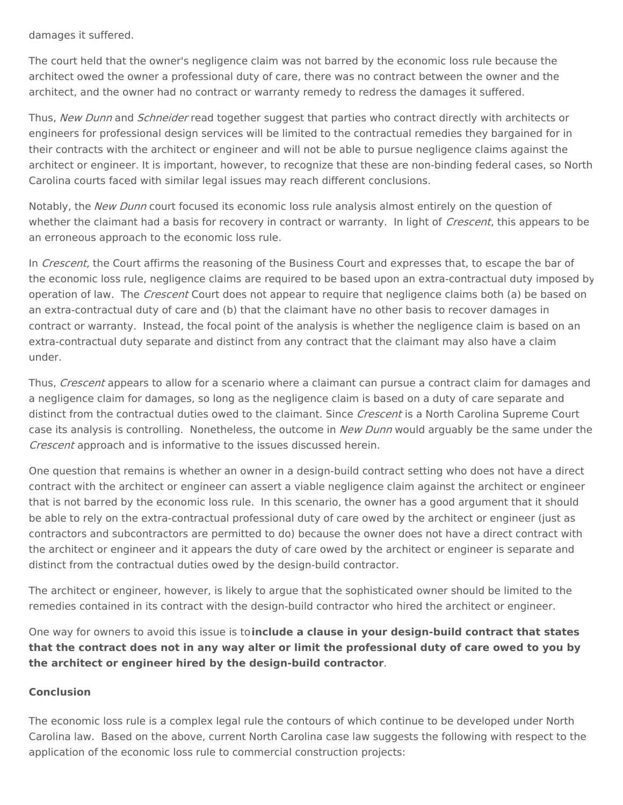damages it suffered.

The court held that the owner's negligence claim was not barred by the economic loss rule because the architect owed the owner a professional duty of care, there was no contract between the owner and the architect, and the owner had no contract or warranty remedy to redress the damages it suffered.

Thus, New Dunn and Schneider read together suggest that parties who contract directly with architects or engineers for professional design services will be limited to the contractual remedies they bargained for in their contracts with the architect or engineer and will not be able to pursue negligence claims against the architect or engineer. It is important, however, to recognize that these are non-binding federal cases, so North Carolina courts faced with similar legal issues may reach different conclusions.

Notably, the New Dunn court focused its economic loss rule analysis almost entirely on the question of whether the claimant had a basis for recovery in contract or warranty. In light of Crescent, this appears to be an erroneous approach to the economic loss rule.

In Crescent, the Court affirms the reasoning of the Business Court and expresses that, to escape the bar of the economic loss rule, negligence claims are required to be based upon an extra-contractual duty imposed by operation of law. The *Crescent* Court does not appear to require that negligence claims both (a) be based on an extra-contractual duty of care and (b) that the claimant have no other basis to recover damages in contract or warranty. Instead, the focal point of the analysis is whether the negligence claim is based on an extra-contractual duty separate and distinct from any contract that the claimant may also have a claim under.

Thus, Crescent appears to allow for a scenario where a claimant can pursue a contract claim for damages and a negligence claim for damages, so long as the negligence claim is based on a duty of care separate and distinct from the contractual duties owed to the claimant. Since Crescent is a North Carolina Supreme Court case its analysis is controlling. Nonetheless, the outcome in New Dunn would arguably be the same under the Crescent approach and is informative to the issues discussed herein.

One question that remains is whether an owner in a design-build contract setting who does not have a direct contract with the architect or engineer can assert a viable negligence claim against the architect or engineer that is not barred by the economic loss rule. In this scenario, the owner has a good argument that it should be able to rely on the extra-contractual professional duty of care owed by the architect or engineer (just as contractors and subcontractors are permitted to do) because the owner does not have a direct contract with the architect or engineer and it appears the duty of care owed by the architect or engineer is separate and distinct from the contractual duties owed by the design-build contractor.

The architect or engineer, however, is likely to argue that the sophisticated owner should be limited to the remedies contained in its contract with the design-build contractor who hired the architect or engineer.

One way for owners to avoid this issue is to**include a clause in your design-build contract that states** that the contract does not in any way alter or limit the professional duty of care owed to you by **the architect or engineer hired by the design-build contractor**.

#### **Conclusion**

The economic loss rule is a complex legal rule the contours of which continue to be developed under North Carolina law. Based on the above, current North Carolina case law suggests the following with respect to the application of the economic loss rule to commercial construction projects: